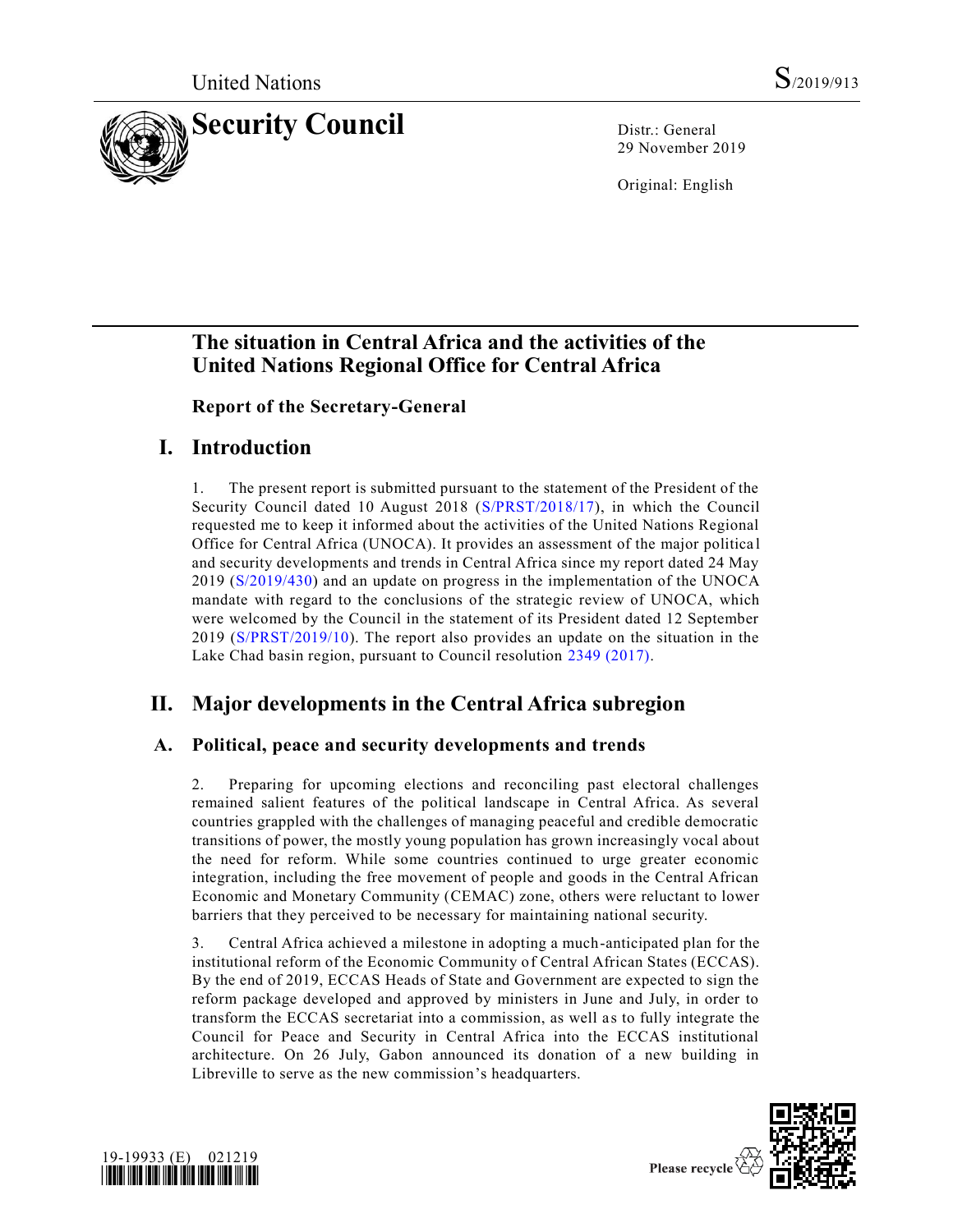

29 November 2019

Original: English

# **The situation in Central Africa and the activities of the United Nations Regional Office for Central Africa**

**Report of the Secretary-General**

# **I. Introduction**

1. The present report is submitted pursuant to the statement of the President of the Security Council dated 10 August 2018 [\(S/PRST/2018/17\)](https://undocs.org/en/S/PRST/2018/17), in which the Council requested me to keep it informed about the activities of the United Nations Regional Office for Central Africa (UNOCA). It provides an assessment of the major politica l and security developments and trends in Central Africa since my report dated 24 May 2019 [\(S/2019/430\)](https://undocs.org/en/S/2019/430) and an update on progress in the implementation of the UNOCA mandate with regard to the conclusions of the strategic review of UNOCA, which were welcomed by the Council in the statement of its President dated 12 September 2019 [\(S/PRST/2019/10\)](https://undocs.org/en/S/PRST/2019/10). The report also provides an update on the situation in the Lake Chad basin region, pursuant to Council resolution [2349 \(2017\).](https://undocs.org/en/S/RES/2349%20(2017))

# **II. Major developments in the Central Africa subregion**

# **A. Political, peace and security developments and trends**

2. Preparing for upcoming elections and reconciling past electoral challenges remained salient features of the political landscape in Central Africa. As several countries grappled with the challenges of managing peaceful and credible democratic transitions of power, the mostly young population has grown increasingly vocal about the need for reform. While some countries continued to urge greater economic integration, including the free movement of people and goods in the Central African Economic and Monetary Community (CEMAC) zone, others were reluctant to lower barriers that they perceived to be necessary for maintaining national security.

3. Central Africa achieved a milestone in adopting a much-anticipated plan for the institutional reform of the Economic Community of Central African States (ECCAS). By the end of 2019, ECCAS Heads of State and Government are expected to sign the reform package developed and approved by ministers in June and July, in order to transform the ECCAS secretariat into a commission, as well as to fully integrate the Council for Peace and Security in Central Africa into the ECCAS institutional architecture. On 26 July, Gabon announced its donation of a new building in Libreville to serve as the new commission's headquarters.



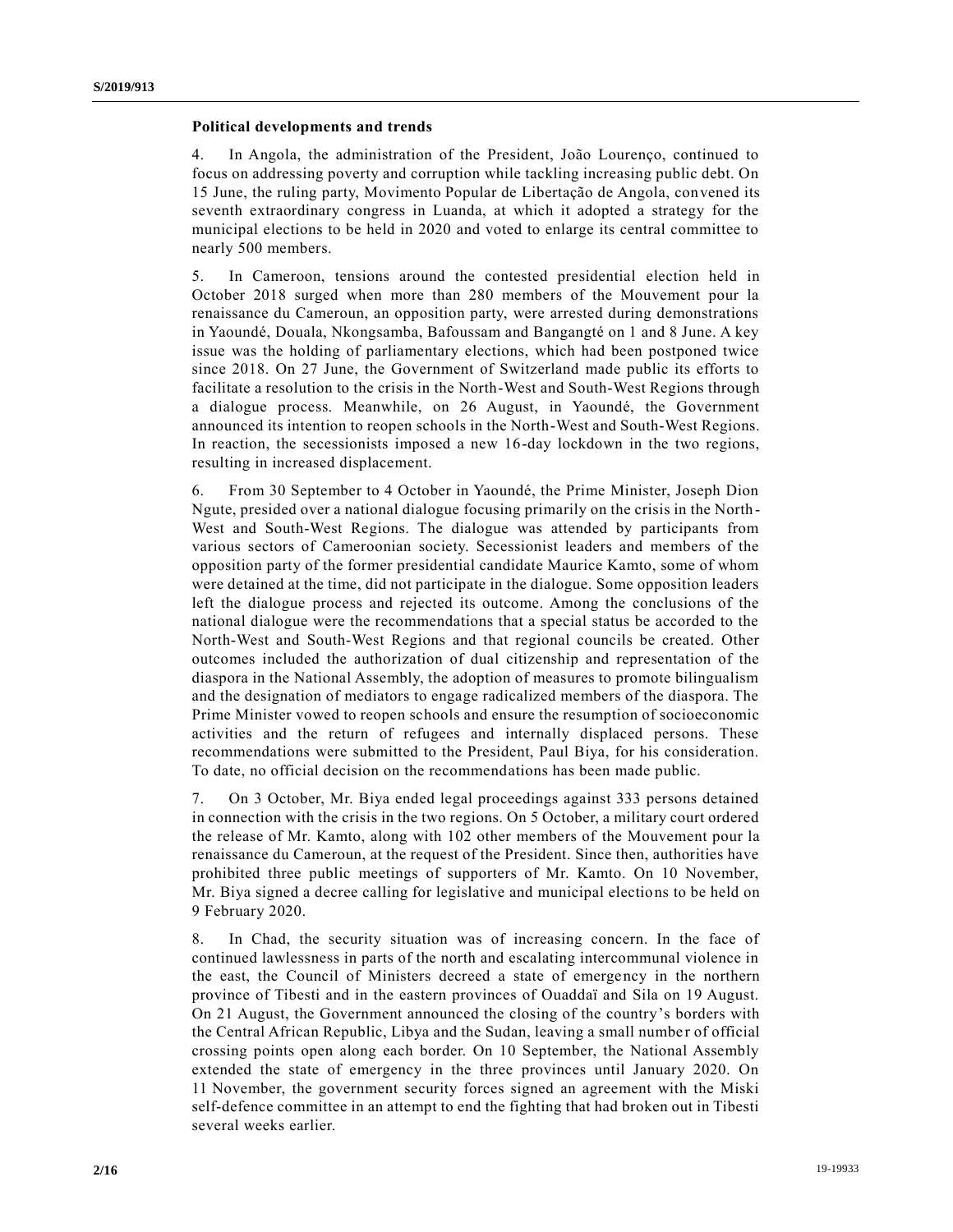#### **Political developments and trends**

4. In Angola, the administration of the President, João Lourenço, continued to focus on addressing poverty and corruption while tackling increasing public debt. On 15 June, the ruling party, Movimento Popular de Libertação de Angola, convened its seventh extraordinary congress in Luanda, at which it adopted a strategy for the municipal elections to be held in 2020 and voted to enlarge its central committee to nearly 500 members.

5. In Cameroon, tensions around the contested presidential election held in October 2018 surged when more than 280 members of the Mouvement pour la renaissance du Cameroun, an opposition party, were arrested during demonstrations in Yaoundé, Douala, Nkongsamba, Bafoussam and Bangangté on 1 and 8 June. A key issue was the holding of parliamentary elections, which had been postponed twice since 2018. On 27 June, the Government of Switzerland made public its efforts to facilitate a resolution to the crisis in the North-West and South-West Regions through a dialogue process. Meanwhile, on 26 August, in Yaoundé, the Government announced its intention to reopen schools in the North-West and South-West Regions. In reaction, the secessionists imposed a new 16-day lockdown in the two regions, resulting in increased displacement.

6. From 30 September to 4 October in Yaoundé, the Prime Minister, Joseph Dion Ngute, presided over a national dialogue focusing primarily on the crisis in the North - West and South-West Regions. The dialogue was attended by participants from various sectors of Cameroonian society. Secessionist leaders and members of the opposition party of the former presidential candidate Maurice Kamto, some of whom were detained at the time, did not participate in the dialogue. Some opposition leaders left the dialogue process and rejected its outcome. Among the conclusions of the national dialogue were the recommendations that a special status be accorded to the North-West and South-West Regions and that regional councils be created. Other outcomes included the authorization of dual citizenship and representation of the diaspora in the National Assembly, the adoption of measures to promote bilingualism and the designation of mediators to engage radicalized members of the diaspora. The Prime Minister vowed to reopen schools and ensure the resumption of socioeconomic activities and the return of refugees and internally displaced persons. These recommendations were submitted to the President, Paul Biya, for his consideration. To date, no official decision on the recommendations has been made public.

7. On 3 October, Mr. Biya ended legal proceedings against 333 persons detained in connection with the crisis in the two regions. On 5 October, a military court ordered the release of Mr. Kamto, along with 102 other members of the Mouvement pour la renaissance du Cameroun, at the request of the President. Since then, authorities have prohibited three public meetings of supporters of Mr. Kamto. On 10 November, Mr. Biya signed a decree calling for legislative and municipal elections to be held on 9 February 2020.

8. In Chad, the security situation was of increasing concern. In the face of continued lawlessness in parts of the north and escalating intercommunal violence in the east, the Council of Ministers decreed a state of emergency in the northern province of Tibesti and in the eastern provinces of Ouaddaï and Sila on 19 August. On 21 August, the Government announced the closing of the country's borders with the Central African Republic, Libya and the Sudan, leaving a small number of official crossing points open along each border. On 10 September, the National Assembly extended the state of emergency in the three provinces until January 2020. On 11 November, the government security forces signed an agreement with the Miski self-defence committee in an attempt to end the fighting that had broken out in Tibesti several weeks earlier.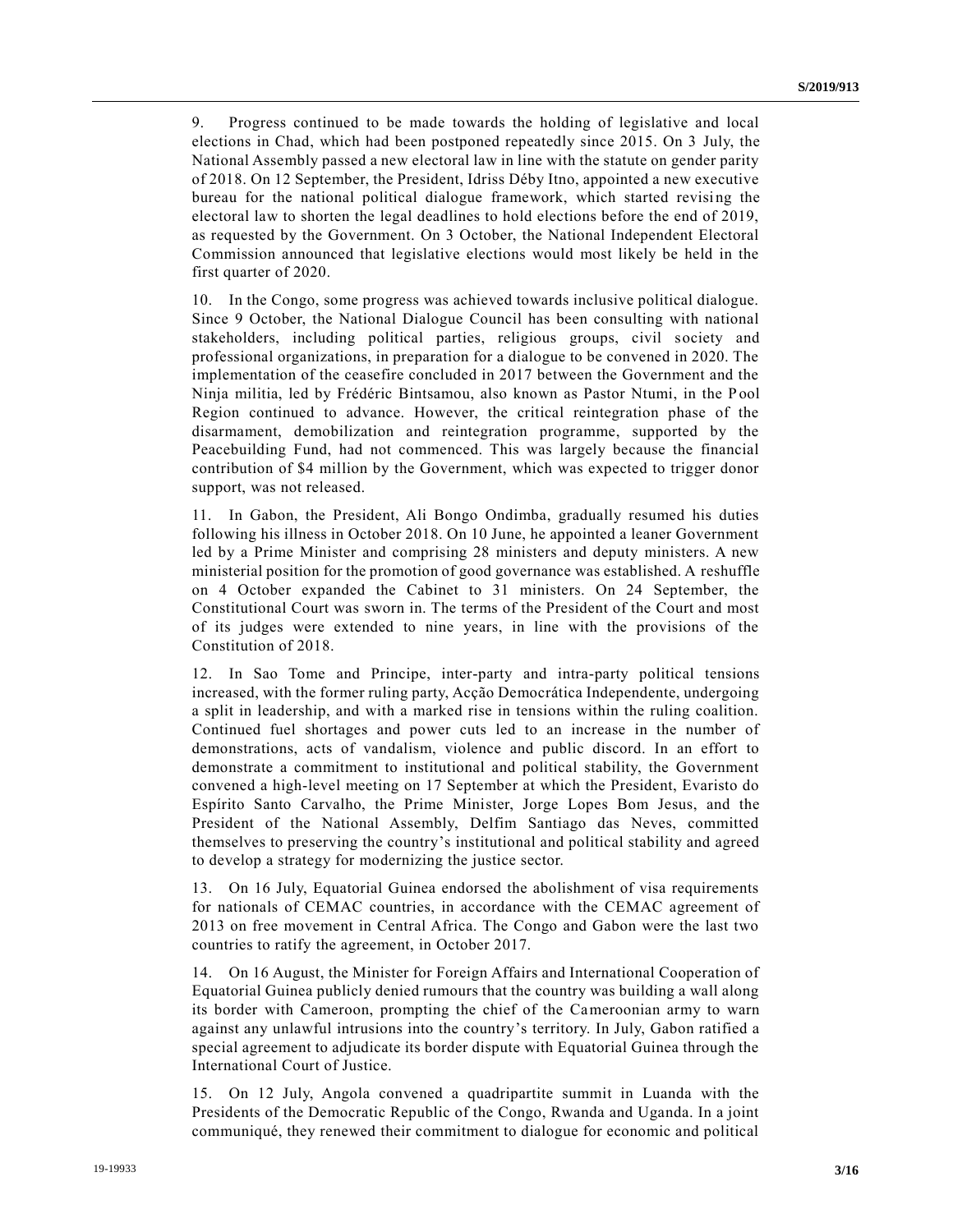9. Progress continued to be made towards the holding of legislative and local elections in Chad, which had been postponed repeatedly since 2015. On 3 July, the National Assembly passed a new electoral law in line with the statute on gender parity of 2018. On 12 September, the President, Idriss Déby Itno, appointed a new executive bureau for the national political dialogue framework, which started revising the electoral law to shorten the legal deadlines to hold elections before the end of 2019, as requested by the Government. On 3 October, the National Independent Electoral Commission announced that legislative elections would most likely be held in the first quarter of 2020.

10. In the Congo, some progress was achieved towards inclusive political dialogue. Since 9 October, the National Dialogue Council has been consulting with national stakeholders, including political parties, religious groups, civil society and professional organizations, in preparation for a dialogue to be convened in 2020. The implementation of the ceasefire concluded in 2017 between the Government and the Ninja militia, led by Frédéric Bintsamou, also known as Pastor Ntumi, in the Pool Region continued to advance. However, the critical reintegration phase of the disarmament, demobilization and reintegration programme, supported by the Peacebuilding Fund, had not commenced. This was largely because the financial contribution of \$4 million by the Government, which was expected to trigger donor support, was not released.

11. In Gabon, the President, Ali Bongo Ondimba, gradually resumed his duties following his illness in October 2018. On 10 June, he appointed a leaner Government led by a Prime Minister and comprising 28 ministers and deputy ministers. A new ministerial position for the promotion of good governance was established. A reshuffle on 4 October expanded the Cabinet to 31 ministers. On 24 September, the Constitutional Court was sworn in. The terms of the President of the Court and most of its judges were extended to nine years, in line with the provisions of the Constitution of 2018.

12. In Sao Tome and Principe, inter-party and intra-party political tensions increased, with the former ruling party, Acção Democrática Independente, undergoing a split in leadership, and with a marked rise in tensions within the ruling coalition. Continued fuel shortages and power cuts led to an increase in the number of demonstrations, acts of vandalism, violence and public discord. In an effort to demonstrate a commitment to institutional and political stability, the Government convened a high-level meeting on 17 September at which the President, Evaristo do Espírito Santo Carvalho, the Prime Minister, Jorge Lopes Bom Jesus, and the President of the National Assembly, Delfim Santiago das Neves, committed themselves to preserving the country's institutional and political stability and agreed to develop a strategy for modernizing the justice sector.

13. On 16 July, Equatorial Guinea endorsed the abolishment of visa requirements for nationals of CEMAC countries, in accordance with the CEMAC agreement of 2013 on free movement in Central Africa. The Congo and Gabon were the last two countries to ratify the agreement, in October 2017.

14. On 16 August, the Minister for Foreign Affairs and International Cooperation of Equatorial Guinea publicly denied rumours that the country was building a wall along its border with Cameroon, prompting the chief of the Cameroonian army to warn against any unlawful intrusions into the country's territory. In July, Gabon ratified a special agreement to adjudicate its border dispute with Equatorial Guinea through the International Court of Justice.

15. On 12 July, Angola convened a quadripartite summit in Luanda with the Presidents of the Democratic Republic of the Congo, Rwanda and Uganda. In a joint communiqué, they renewed their commitment to dialogue for economic and political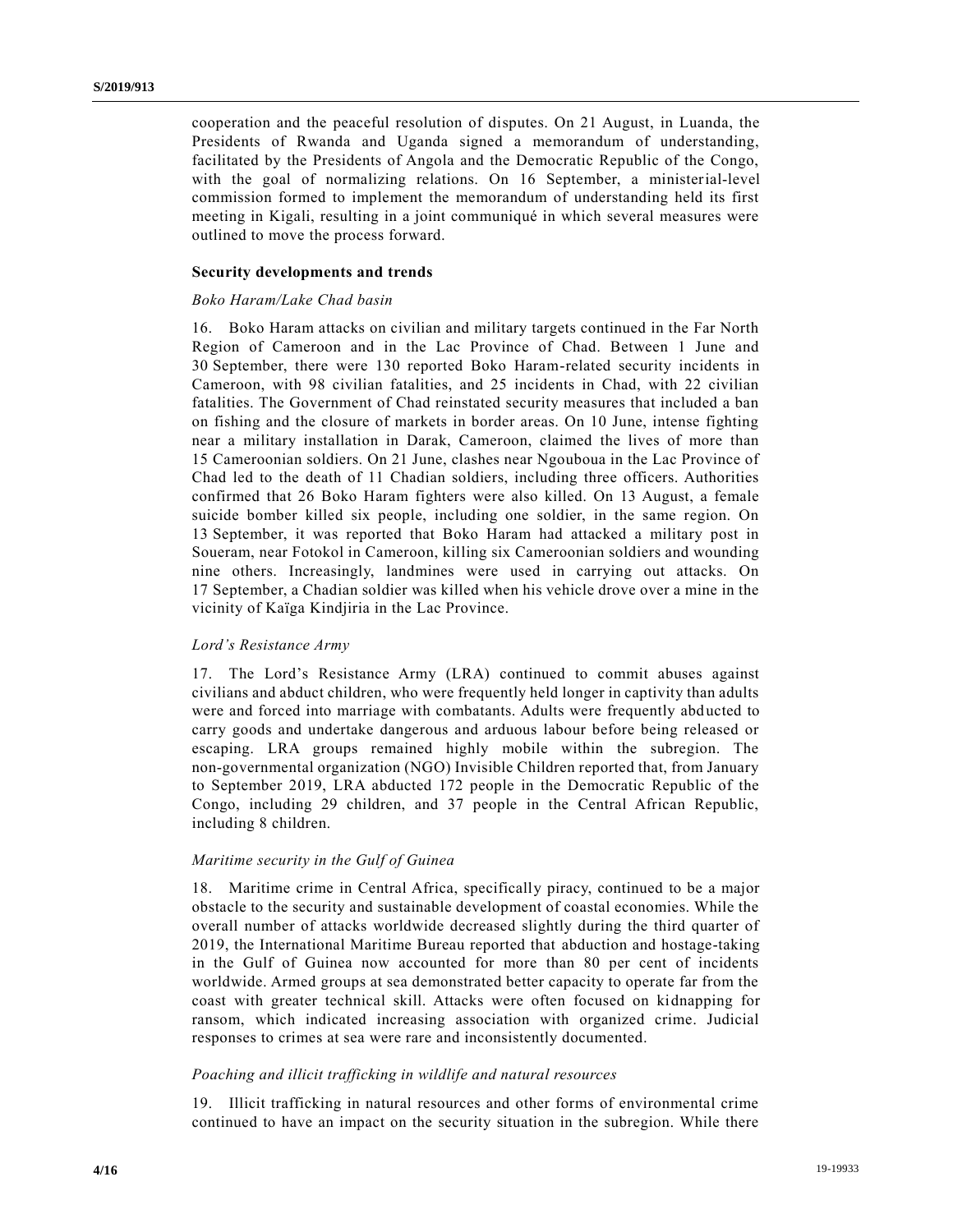cooperation and the peaceful resolution of disputes. On 21 August, in Luanda, the Presidents of Rwanda and Uganda signed a memorandum of understanding, facilitated by the Presidents of Angola and the Democratic Republic of the Congo, with the goal of normalizing relations. On 16 September, a ministerial-level commission formed to implement the memorandum of understanding held its first meeting in Kigali, resulting in a joint communiqué in which several measures were outlined to move the process forward.

### **Security developments and trends**

#### *Boko Haram/Lake Chad basin*

16. Boko Haram attacks on civilian and military targets continued in the Far North Region of Cameroon and in the Lac Province of Chad. Between 1 June and 30 September, there were 130 reported Boko Haram-related security incidents in Cameroon, with 98 civilian fatalities, and 25 incidents in Chad, with 22 civilian fatalities. The Government of Chad reinstated security measures that included a ban on fishing and the closure of markets in border areas. On 10 June, intense fighting near a military installation in Darak, Cameroon, claimed the lives of more than 15 Cameroonian soldiers. On 21 June, clashes near Ngouboua in the Lac Province of Chad led to the death of 11 Chadian soldiers, including three officers. Authorities confirmed that 26 Boko Haram fighters were also killed. On 13 August, a female suicide bomber killed six people, including one soldier, in the same region. On 13 September, it was reported that Boko Haram had attacked a military post in Soueram, near Fotokol in Cameroon, killing six Cameroonian soldiers and wounding nine others. Increasingly, landmines were used in carrying out attacks. On 17 September, a Chadian soldier was killed when his vehicle drove over a mine in the vicinity of Kaïga Kindjiria in the Lac Province.

#### *Lord's Resistance Army*

17. The Lord's Resistance Army (LRA) continued to commit abuses against civilians and abduct children, who were frequently held longer in captivity than adults were and forced into marriage with combatants. Adults were frequently abd ucted to carry goods and undertake dangerous and arduous labour before being released or escaping. LRA groups remained highly mobile within the subregion. The non-governmental organization (NGO) Invisible Children reported that, from January to September 2019, LRA abducted 172 people in the Democratic Republic of the Congo, including 29 children, and 37 people in the Central African Republic, including 8 children.

#### *Maritime security in the Gulf of Guinea*

18. Maritime crime in Central Africa, specifically piracy, continued to be a major obstacle to the security and sustainable development of coastal economies. While the overall number of attacks worldwide decreased slightly during the third quarter of 2019, the International Maritime Bureau reported that abduction and hostage-taking in the Gulf of Guinea now accounted for more than 80 per cent of incidents worldwide. Armed groups at sea demonstrated better capacity to operate far from the coast with greater technical skill. Attacks were often focused on kidnapping for ransom, which indicated increasing association with organized crime. Judicial responses to crimes at sea were rare and inconsistently documented.

#### *Poaching and illicit trafficking in wildlife and natural resources*

19. Illicit trafficking in natural resources and other forms of environmental crime continued to have an impact on the security situation in the subregion. While there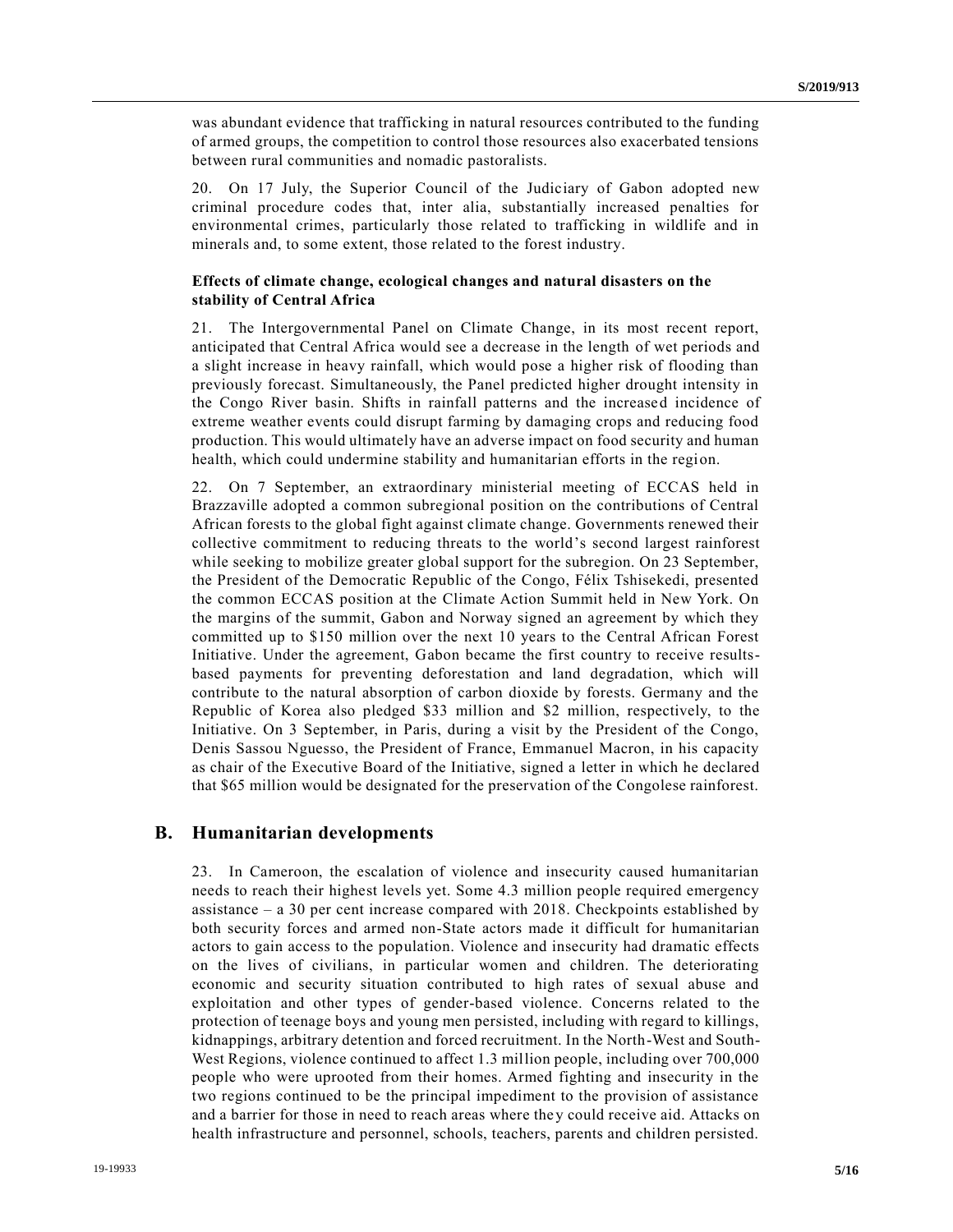was abundant evidence that trafficking in natural resources contributed to the funding of armed groups, the competition to control those resources also exacerbated tensions between rural communities and nomadic pastoralists.

20. On 17 July, the Superior Council of the Judiciary of Gabon adopted new criminal procedure codes that, inter alia, substantially increased penalties for environmental crimes, particularly those related to trafficking in wildlife and in minerals and, to some extent, those related to the forest industry.

### **Effects of climate change, ecological changes and natural disasters on the stability of Central Africa**

21. The Intergovernmental Panel on Climate Change, in its most recent report, anticipated that Central Africa would see a decrease in the length of wet periods and a slight increase in heavy rainfall, which would pose a higher risk of flooding than previously forecast. Simultaneously, the Panel predicted higher drought intensity in the Congo River basin. Shifts in rainfall patterns and the increased incidence of extreme weather events could disrupt farming by damaging crops and reducing food production. This would ultimately have an adverse impact on food security and human health, which could undermine stability and humanitarian efforts in the region.

22. On 7 September, an extraordinary ministerial meeting of ECCAS held in Brazzaville adopted a common subregional position on the contributions of Central African forests to the global fight against climate change. Governments renewed their collective commitment to reducing threats to the world's second largest rainforest while seeking to mobilize greater global support for the subregion. On 23 September, the President of the Democratic Republic of the Congo, Félix Tshisekedi, presented the common ECCAS position at the Climate Action Summit held in New York. On the margins of the summit, Gabon and Norway signed an agreement by which they committed up to \$150 million over the next 10 years to the Central African Forest Initiative. Under the agreement, Gabon became the first country to receive resultsbased payments for preventing deforestation and land degradation, which will contribute to the natural absorption of carbon dioxide by forests. Germany and the Republic of Korea also pledged \$33 million and \$2 million, respectively, to the Initiative. On 3 September, in Paris, during a visit by the President of the Congo, Denis Sassou Nguesso, the President of France, Emmanuel Macron, in his capacity as chair of the Executive Board of the Initiative, signed a letter in which he declared that \$65 million would be designated for the preservation of the Congolese rainforest.

## **B. Humanitarian developments**

23. In Cameroon, the escalation of violence and insecurity caused humanitarian needs to reach their highest levels yet. Some 4.3 million people required emergency assistance – a 30 per cent increase compared with 2018. Checkpoints established by both security forces and armed non-State actors made it difficult for humanitarian actors to gain access to the population. Violence and insecurity had dramatic effects on the lives of civilians, in particular women and children. The deteriorating economic and security situation contributed to high rates of sexual abuse and exploitation and other types of gender-based violence. Concerns related to the protection of teenage boys and young men persisted, including with regard to killings, kidnappings, arbitrary detention and forced recruitment. In the North-West and South-West Regions, violence continued to affect 1.3 million people, including over 700,000 people who were uprooted from their homes. Armed fighting and insecurity in the two regions continued to be the principal impediment to the provision of assistance and a barrier for those in need to reach areas where they could receive aid. Attacks on health infrastructure and personnel, schools, teachers, parents and children persisted.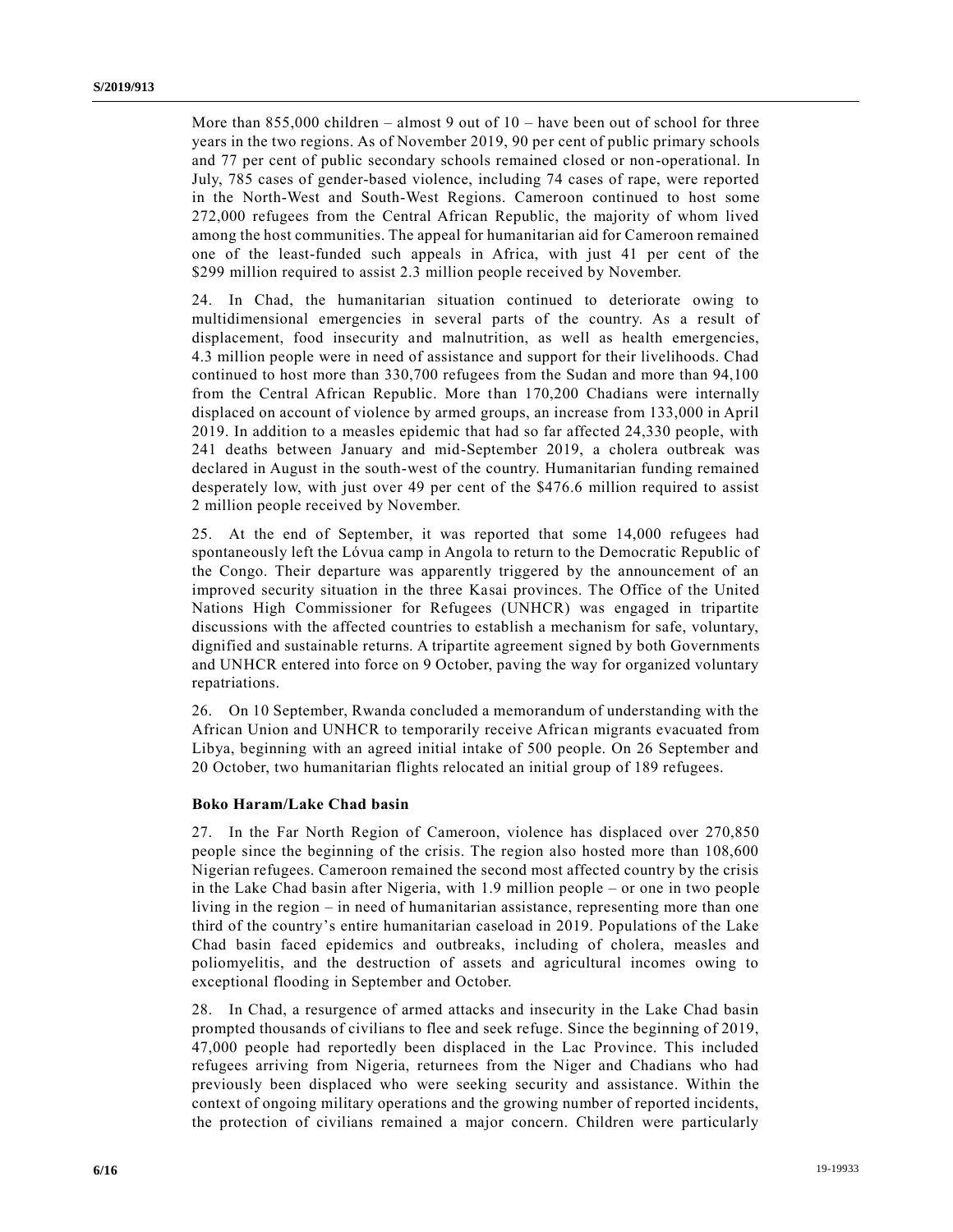More than  $855,000$  children – almost 9 out of  $10$  – have been out of school for three years in the two regions. As of November 2019, 90 per cent of public primary schools and 77 per cent of public secondary schools remained closed or non-operational. In July, 785 cases of gender-based violence, including 74 cases of rape, were reported in the North-West and South-West Regions. Cameroon continued to host some 272,000 refugees from the Central African Republic, the majority of whom lived among the host communities. The appeal for humanitarian aid for Cameroon remained one of the least-funded such appeals in Africa, with just 41 per cent of the \$299 million required to assist 2.3 million people received by November.

24. In Chad, the humanitarian situation continued to deteriorate owing to multidimensional emergencies in several parts of the country. As a result of displacement, food insecurity and malnutrition, as well as health emergencies, 4.3 million people were in need of assistance and support for their livelihoods. Chad continued to host more than 330,700 refugees from the Sudan and more than 94,100 from the Central African Republic. More than 170,200 Chadians were internally displaced on account of violence by armed groups, an increase from 133,000 in April 2019. In addition to a measles epidemic that had so far affected 24,330 people, with 241 deaths between January and mid-September 2019, a cholera outbreak was declared in August in the south-west of the country. Humanitarian funding remained desperately low, with just over 49 per cent of the \$476.6 million required to assist 2 million people received by November.

25. At the end of September, it was reported that some 14,000 refugees had spontaneously left the Lóvua camp in Angola to return to the Democratic Republic of the Congo. Their departure was apparently triggered by the announcement of an improved security situation in the three Kasai provinces. The Office of the United Nations High Commissioner for Refugees (UNHCR) was engaged in tripartite discussions with the affected countries to establish a mechanism for safe, voluntary, dignified and sustainable returns. A tripartite agreement signed by both Governments and UNHCR entered into force on 9 October, paving the way for organized voluntary repatriations.

26. On 10 September, Rwanda concluded a memorandum of understanding with the African Union and UNHCR to temporarily receive African migrants evacuated from Libya, beginning with an agreed initial intake of 500 people. On 26 September and 20 October, two humanitarian flights relocated an initial group of 189 refugees.

### **Boko Haram/Lake Chad basin**

27. In the Far North Region of Cameroon, violence has displaced over 270,850 people since the beginning of the crisis. The region also hosted more than 108,600 Nigerian refugees. Cameroon remained the second most affected country by the crisis in the Lake Chad basin after Nigeria, with 1.9 million people – or one in two people living in the region – in need of humanitarian assistance, representing more than one third of the country's entire humanitarian caseload in 2019. Populations of the Lake Chad basin faced epidemics and outbreaks, including of cholera, measles and poliomyelitis, and the destruction of assets and agricultural incomes owing to exceptional flooding in September and October.

28. In Chad, a resurgence of armed attacks and insecurity in the Lake Chad basin prompted thousands of civilians to flee and seek refuge. Since the beginning of 2019, 47,000 people had reportedly been displaced in the Lac Province. This included refugees arriving from Nigeria, returnees from the Niger and Chadians who had previously been displaced who were seeking security and assistance. Within the context of ongoing military operations and the growing number of reported incidents, the protection of civilians remained a major concern. Children were particularly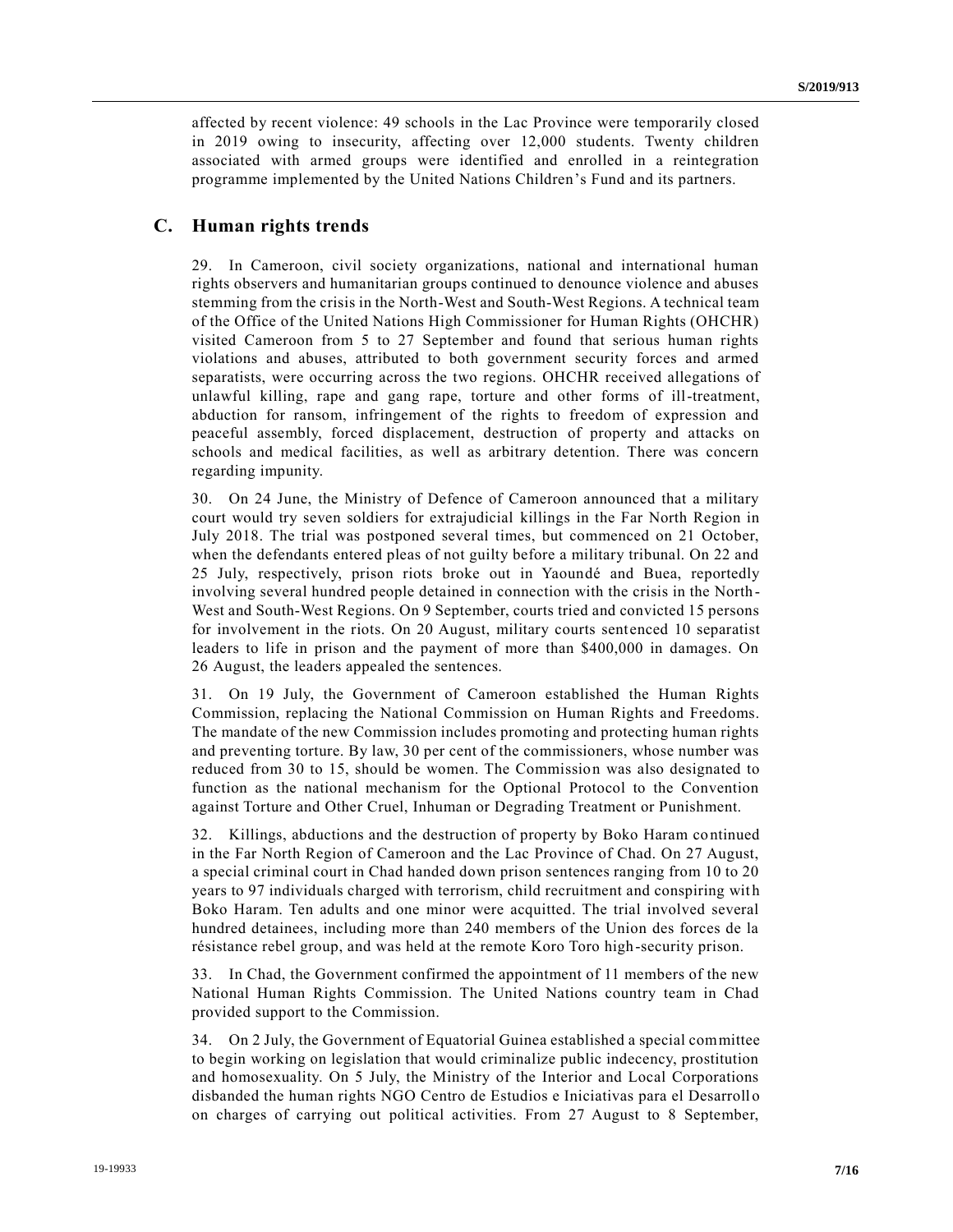affected by recent violence: 49 schools in the Lac Province were temporarily closed in 2019 owing to insecurity, affecting over 12,000 students. Twenty children associated with armed groups were identified and enrolled in a reintegration programme implemented by the United Nations Children's Fund and its partners.

## **C. Human rights trends**

29. In Cameroon, civil society organizations, national and international human rights observers and humanitarian groups continued to denounce violence and abuses stemming from the crisis in the North-West and South-West Regions. A technical team of the Office of the United Nations High Commissioner for Human Rights (OHCHR) visited Cameroon from 5 to 27 September and found that serious human rights violations and abuses, attributed to both government security forces and armed separatists, were occurring across the two regions. OHCHR received allegations of unlawful killing, rape and gang rape, torture and other forms of ill-treatment, abduction for ransom, infringement of the rights to freedom of expression and peaceful assembly, forced displacement, destruction of property and attacks on schools and medical facilities, as well as arbitrary detention. There was concern regarding impunity.

30. On 24 June, the Ministry of Defence of Cameroon announced that a military court would try seven soldiers for extrajudicial killings in the Far North Region in July 2018. The trial was postponed several times, but commenced on 21 October, when the defendants entered pleas of not guilty before a military tribunal. On 22 and 25 July, respectively, prison riots broke out in Yaoundé and Buea, reportedly involving several hundred people detained in connection with the crisis in the North - West and South-West Regions. On 9 September, courts tried and convicted 15 persons for involvement in the riots. On 20 August, military courts sentenced 10 separatist leaders to life in prison and the payment of more than \$400,000 in damages. On 26 August, the leaders appealed the sentences.

31. On 19 July, the Government of Cameroon established the Human Rights Commission, replacing the National Commission on Human Rights and Freedoms. The mandate of the new Commission includes promoting and protecting human rights and preventing torture. By law, 30 per cent of the commissioners, whose number was reduced from 30 to 15, should be women. The Commission was also designated to function as the national mechanism for the Optional Protocol to the Convention against Torture and Other Cruel, Inhuman or Degrading Treatment or Punishment.

32. Killings, abductions and the destruction of property by Boko Haram continued in the Far North Region of Cameroon and the Lac Province of Chad. On 27 August, a special criminal court in Chad handed down prison sentences ranging from 10 to 20 years to 97 individuals charged with terrorism, child recruitment and conspiring wit h Boko Haram. Ten adults and one minor were acquitted. The trial involved several hundred detainees, including more than 240 members of the Union des forces de la résistance rebel group, and was held at the remote Koro Toro high-security prison.

33. In Chad, the Government confirmed the appointment of 11 members of the new National Human Rights Commission. The United Nations country team in Chad provided support to the Commission.

34. On 2 July, the Government of Equatorial Guinea established a special committee to begin working on legislation that would criminalize public indecency, prostitution and homosexuality. On 5 July, the Ministry of the Interior and Local Corporations disbanded the human rights NGO Centro de Estudios e Iniciativas para el Desarroll o on charges of carrying out political activities. From 27 August to 8 September,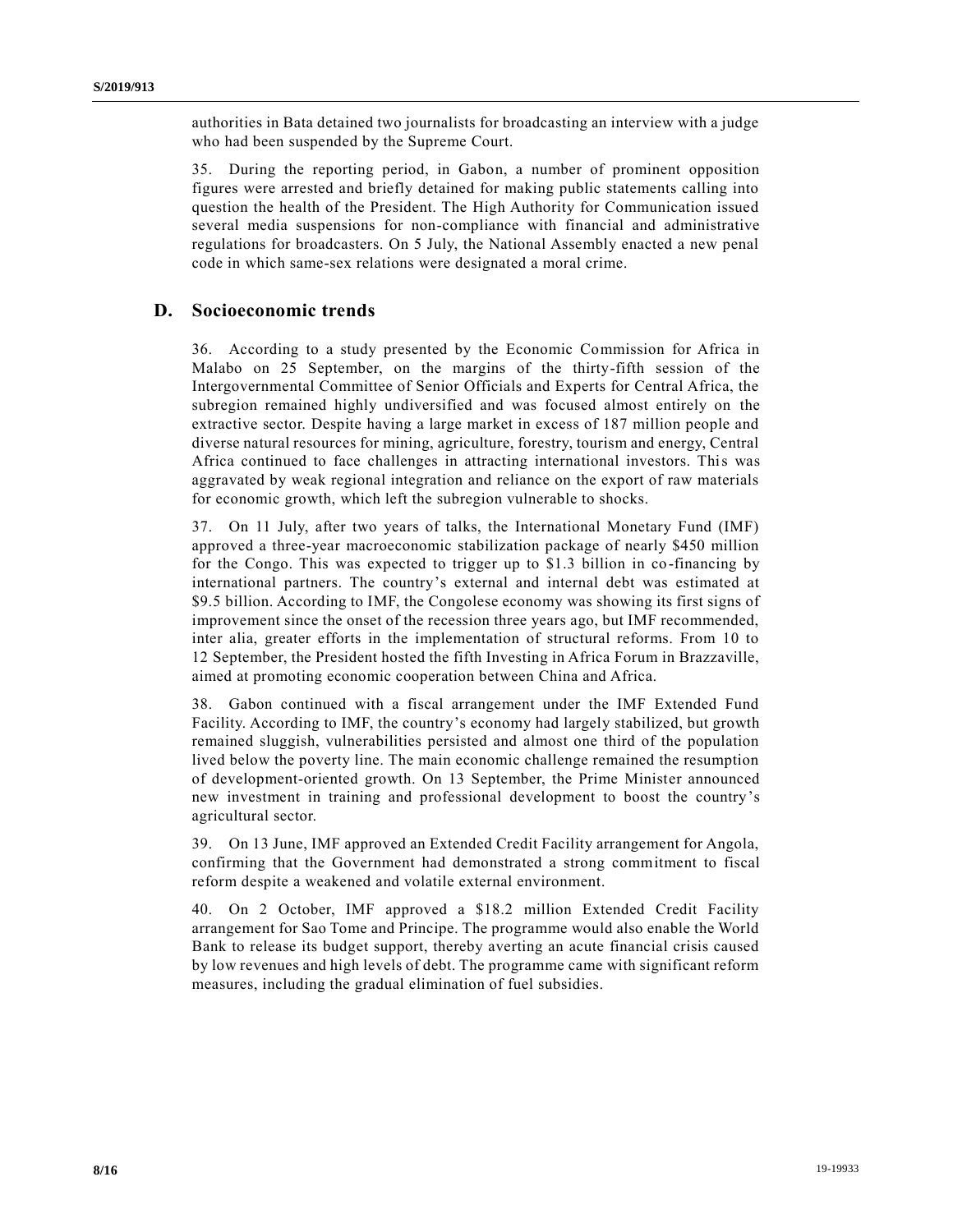authorities in Bata detained two journalists for broadcasting an interview with a judge who had been suspended by the Supreme Court.

35. During the reporting period, in Gabon, a number of prominent opposition figures were arrested and briefly detained for making public statements calling into question the health of the President. The High Authority for Communication issued several media suspensions for non-compliance with financial and administrative regulations for broadcasters. On 5 July, the National Assembly enacted a new penal code in which same-sex relations were designated a moral crime.

# **D. Socioeconomic trends**

36. According to a study presented by the Economic Commission for Africa in Malabo on 25 September, on the margins of the thirty-fifth session of the Intergovernmental Committee of Senior Officials and Experts for Central Africa, the subregion remained highly undiversified and was focused almost entirely on the extractive sector. Despite having a large market in excess of 187 million people and diverse natural resources for mining, agriculture, forestry, tourism and energy, Central Africa continued to face challenges in attracting international investors. This was aggravated by weak regional integration and reliance on the export of raw materials for economic growth, which left the subregion vulnerable to shocks.

37. On 11 July, after two years of talks, the International Monetary Fund (IMF) approved a three-year macroeconomic stabilization package of nearly \$450 million for the Congo. This was expected to trigger up to \$1.3 billion in co-financing by international partners. The country's external and internal debt was estimated at \$9.5 billion. According to IMF, the Congolese economy was showing its first signs of improvement since the onset of the recession three years ago, but IMF recommended, inter alia, greater efforts in the implementation of structural reforms. From 10 to 12 September, the President hosted the fifth Investing in Africa Forum in Brazzaville, aimed at promoting economic cooperation between China and Africa.

38. Gabon continued with a fiscal arrangement under the IMF Extended Fund Facility. According to IMF, the country's economy had largely stabilized, but growth remained sluggish, vulnerabilities persisted and almost one third of the population lived below the poverty line. The main economic challenge remained the resumption of development-oriented growth. On 13 September, the Prime Minister announced new investment in training and professional development to boost the country's agricultural sector.

39. On 13 June, IMF approved an Extended Credit Facility arrangement for Angola, confirming that the Government had demonstrated a strong commitment to fiscal reform despite a weakened and volatile external environment.

40. On 2 October, IMF approved a \$18.2 million Extended Credit Facility arrangement for Sao Tome and Principe. The programme would also enable the World Bank to release its budget support, thereby averting an acute financial crisis caused by low revenues and high levels of debt. The programme came with significant reform measures, including the gradual elimination of fuel subsidies.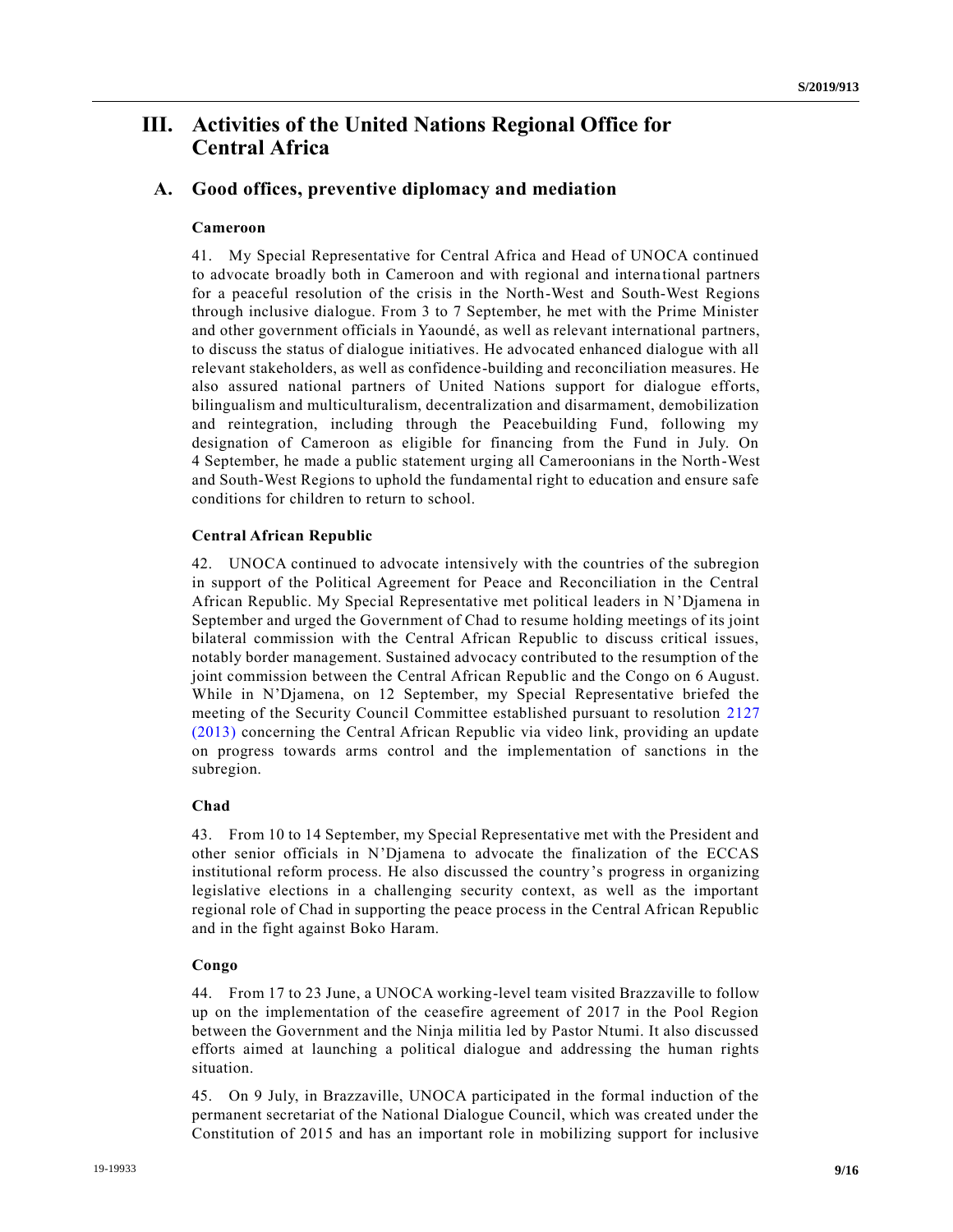# **III. Activities of the United Nations Regional Office for Central Africa**

# **A. Good offices, preventive diplomacy and mediation**

## **Cameroon**

41. My Special Representative for Central Africa and Head of UNOCA continued to advocate broadly both in Cameroon and with regional and interna tional partners for a peaceful resolution of the crisis in the North-West and South-West Regions through inclusive dialogue. From 3 to 7 September, he met with the Prime Minister and other government officials in Yaoundé, as well as relevant international partners, to discuss the status of dialogue initiatives. He advocated enhanced dialogue with all relevant stakeholders, as well as confidence-building and reconciliation measures. He also assured national partners of United Nations support for dialogue efforts, bilingualism and multiculturalism, decentralization and disarmament, demobilization and reintegration, including through the Peacebuilding Fund, following my designation of Cameroon as eligible for financing from the Fund in July. On 4 September, he made a public statement urging all Cameroonians in the North-West and South-West Regions to uphold the fundamental right to education and ensure safe conditions for children to return to school.

### **Central African Republic**

42. UNOCA continued to advocate intensively with the countries of the subregion in support of the Political Agreement for Peace and Reconciliation in the Central African Republic. My Special Representative met political leaders in N'Djamena in September and urged the Government of Chad to resume holding meetings of its joint bilateral commission with the Central African Republic to discuss critical issues, notably border management. Sustained advocacy contributed to the resumption of the joint commission between the Central African Republic and the Congo on 6 August. While in N'Djamena, on 12 September, my Special Representative briefed the meeting of the Security Council Committee established pursuant to resolution [2127](https://undocs.org/en/S/RES/2127%20(2013))  [\(2013\)](https://undocs.org/en/S/RES/2127%20(2013)) concerning the Central African Republic via video link, providing an update on progress towards arms control and the implementation of sanctions in the subregion.

## **Chad**

43. From 10 to 14 September, my Special Representative met with the President and other senior officials in N'Djamena to advocate the finalization of the ECCAS institutional reform process. He also discussed the country's progress in organizing legislative elections in a challenging security context, as well as the important regional role of Chad in supporting the peace process in the Central African Republic and in the fight against Boko Haram.

## **Congo**

44. From 17 to 23 June, a UNOCA working-level team visited Brazzaville to follow up on the implementation of the ceasefire agreement of 2017 in the Pool Region between the Government and the Ninja militia led by Pastor Ntumi. It also discussed efforts aimed at launching a political dialogue and addressing the human rights situation.

45. On 9 July, in Brazzaville, UNOCA participated in the formal induction of the permanent secretariat of the National Dialogue Council, which was created under the Constitution of 2015 and has an important role in mobilizing support for inclusive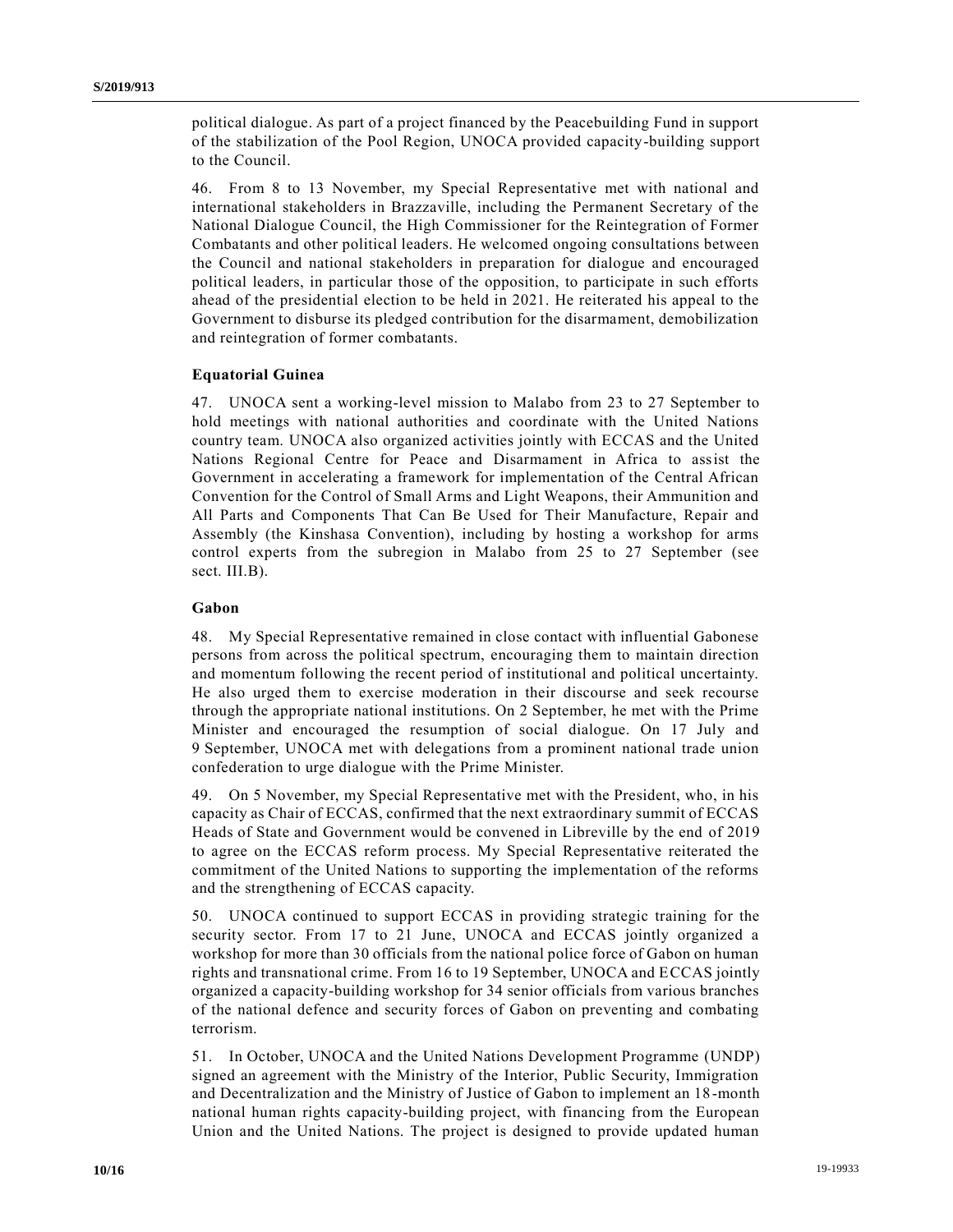political dialogue. As part of a project financed by the Peacebuilding Fund in support of the stabilization of the Pool Region, UNOCA provided capacity-building support to the Council.

46. From 8 to 13 November, my Special Representative met with national and international stakeholders in Brazzaville, including the Permanent Secretary of the National Dialogue Council, the High Commissioner for the Reintegration of Former Combatants and other political leaders. He welcomed ongoing consultations between the Council and national stakeholders in preparation for dialogue and encouraged political leaders, in particular those of the opposition, to participate in such efforts ahead of the presidential election to be held in 2021. He reiterated his appeal to the Government to disburse its pledged contribution for the disarmament, demobilization and reintegration of former combatants.

#### **Equatorial Guinea**

47. UNOCA sent a working-level mission to Malabo from 23 to 27 September to hold meetings with national authorities and coordinate with the United Nations country team. UNOCA also organized activities jointly with ECCAS and the United Nations Regional Centre for Peace and Disarmament in Africa to assist the Government in accelerating a framework for implementation of the Central African Convention for the Control of Small Arms and Light Weapons, their Ammunition and All Parts and Components That Can Be Used for Their Manufacture, Repair and Assembly (the Kinshasa Convention), including by hosting a workshop for arms control experts from the subregion in Malabo from 25 to 27 September (see sect. III.B).

### **Gabon**

48. My Special Representative remained in close contact with influential Gabonese persons from across the political spectrum, encouraging them to maintain direction and momentum following the recent period of institutional and political uncertainty. He also urged them to exercise moderation in their discourse and seek recourse through the appropriate national institutions. On 2 September, he met with the Prime Minister and encouraged the resumption of social dialogue. On 17 July and 9 September, UNOCA met with delegations from a prominent national trade union confederation to urge dialogue with the Prime Minister.

49. On 5 November, my Special Representative met with the President, who, in his capacity as Chair of ECCAS, confirmed that the next extraordinary summit of ECCAS Heads of State and Government would be convened in Libreville by the end of 2019 to agree on the ECCAS reform process. My Special Representative reiterated the commitment of the United Nations to supporting the implementation of the reforms and the strengthening of ECCAS capacity.

50. UNOCA continued to support ECCAS in providing strategic training for the security sector. From 17 to 21 June, UNOCA and ECCAS jointly organized a workshop for more than 30 officials from the national police force of Gabon on human rights and transnational crime. From 16 to 19 September, UNOCA and ECCAS jointly organized a capacity-building workshop for 34 senior officials from various branches of the national defence and security forces of Gabon on preventing and combating terrorism.

51. In October, UNOCA and the United Nations Development Programme (UNDP) signed an agreement with the Ministry of the Interior, Public Security, Immigration and Decentralization and the Ministry of Justice of Gabon to implement an 18 -month national human rights capacity-building project, with financing from the European Union and the United Nations. The project is designed to provide updated human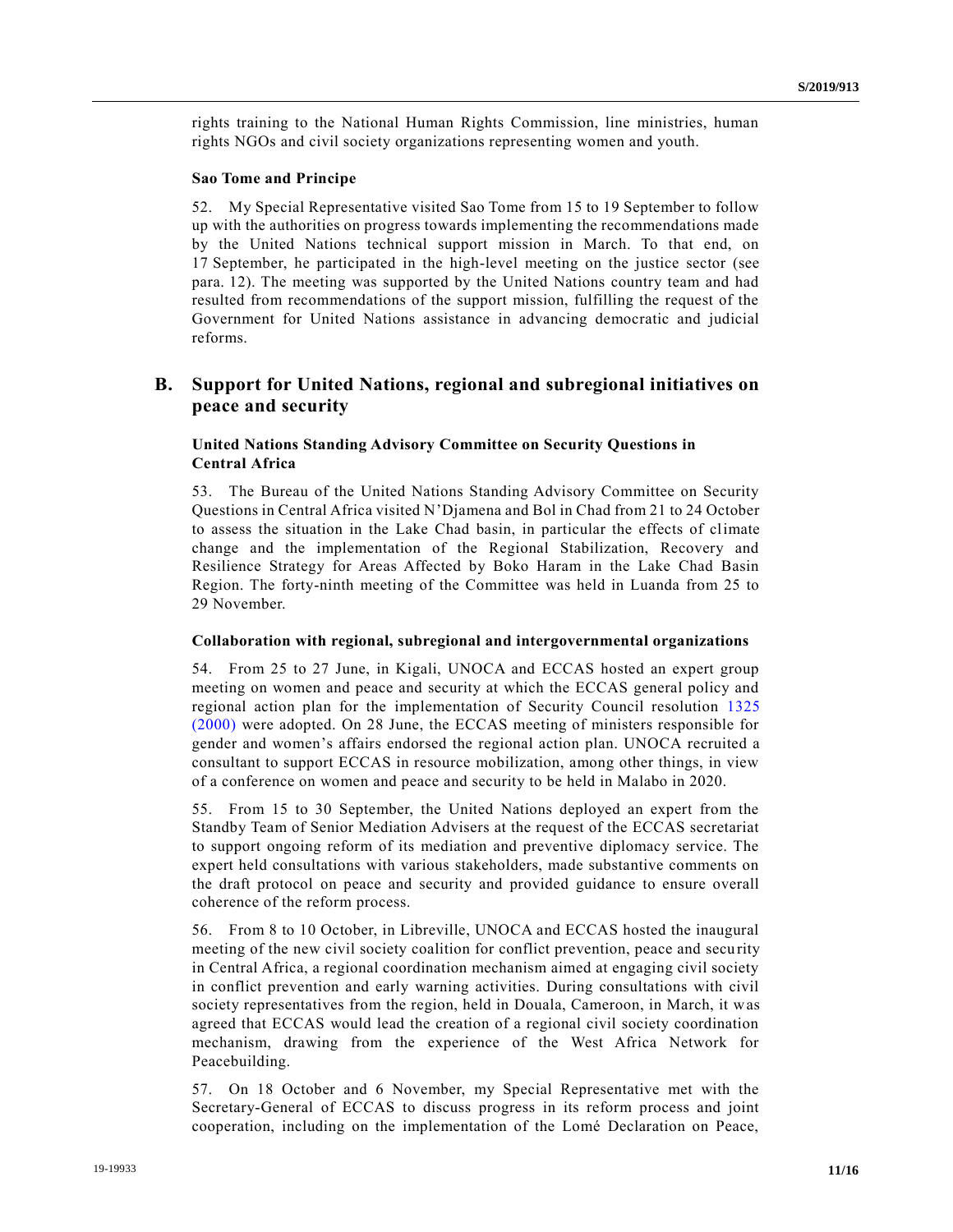rights training to the National Human Rights Commission, line ministries, human rights NGOs and civil society organizations representing women and youth.

#### **Sao Tome and Principe**

52. My Special Representative visited Sao Tome from 15 to 19 September to follow up with the authorities on progress towards implementing the recommendations made by the United Nations technical support mission in March. To that end, on 17 September, he participated in the high-level meeting on the justice sector (see para. 12). The meeting was supported by the United Nations country team and had resulted from recommendations of the support mission, fulfilling the request of the Government for United Nations assistance in advancing democratic and judicial reforms.

## **B. Support for United Nations, regional and subregional initiatives on peace and security**

## **United Nations Standing Advisory Committee on Security Questions in Central Africa**

53. The Bureau of the United Nations Standing Advisory Committee on Security Questions in Central Africa visited N'Djamena and Bol in Chad from 21 to 24 October to assess the situation in the Lake Chad basin, in particular the effects of climate change and the implementation of the Regional Stabilization, Recovery and Resilience Strategy for Areas Affected by Boko Haram in the Lake Chad Basin Region. The forty-ninth meeting of the Committee was held in Luanda from 25 to 29 November.

### **Collaboration with regional, subregional and intergovernmental organizations**

54. From 25 to 27 June, in Kigali, UNOCA and ECCAS hosted an expert group meeting on women and peace and security at which the ECCAS general policy and regional action plan for the implementation of Security Council resolution [1325](https://undocs.org/en/S/RES/1325%20(2000))  [\(2000\)](https://undocs.org/en/S/RES/1325%20(2000)) were adopted. On 28 June, the ECCAS meeting of ministers responsible for gender and women's affairs endorsed the regional action plan. UNOCA recruited a consultant to support ECCAS in resource mobilization, among other things, in view of a conference on women and peace and security to be held in Malabo in 2020.

55. From 15 to 30 September, the United Nations deployed an expert from the Standby Team of Senior Mediation Advisers at the request of the ECCAS secretariat to support ongoing reform of its mediation and preventive diplomacy service. The expert held consultations with various stakeholders, made substantive comments on the draft protocol on peace and security and provided guidance to ensure overall coherence of the reform process.

56. From 8 to 10 October, in Libreville, UNOCA and ECCAS hosted the inaugural meeting of the new civil society coalition for conflict prevention, peace and secu rity in Central Africa, a regional coordination mechanism aimed at engaging civil society in conflict prevention and early warning activities. During consultations with civil society representatives from the region, held in Douala, Cameroon, in March, it was agreed that ECCAS would lead the creation of a regional civil society coordination mechanism, drawing from the experience of the West Africa Network for Peacebuilding.

57. On 18 October and 6 November, my Special Representative met with the Secretary-General of ECCAS to discuss progress in its reform process and joint cooperation, including on the implementation of the Lomé Declaration on Peace,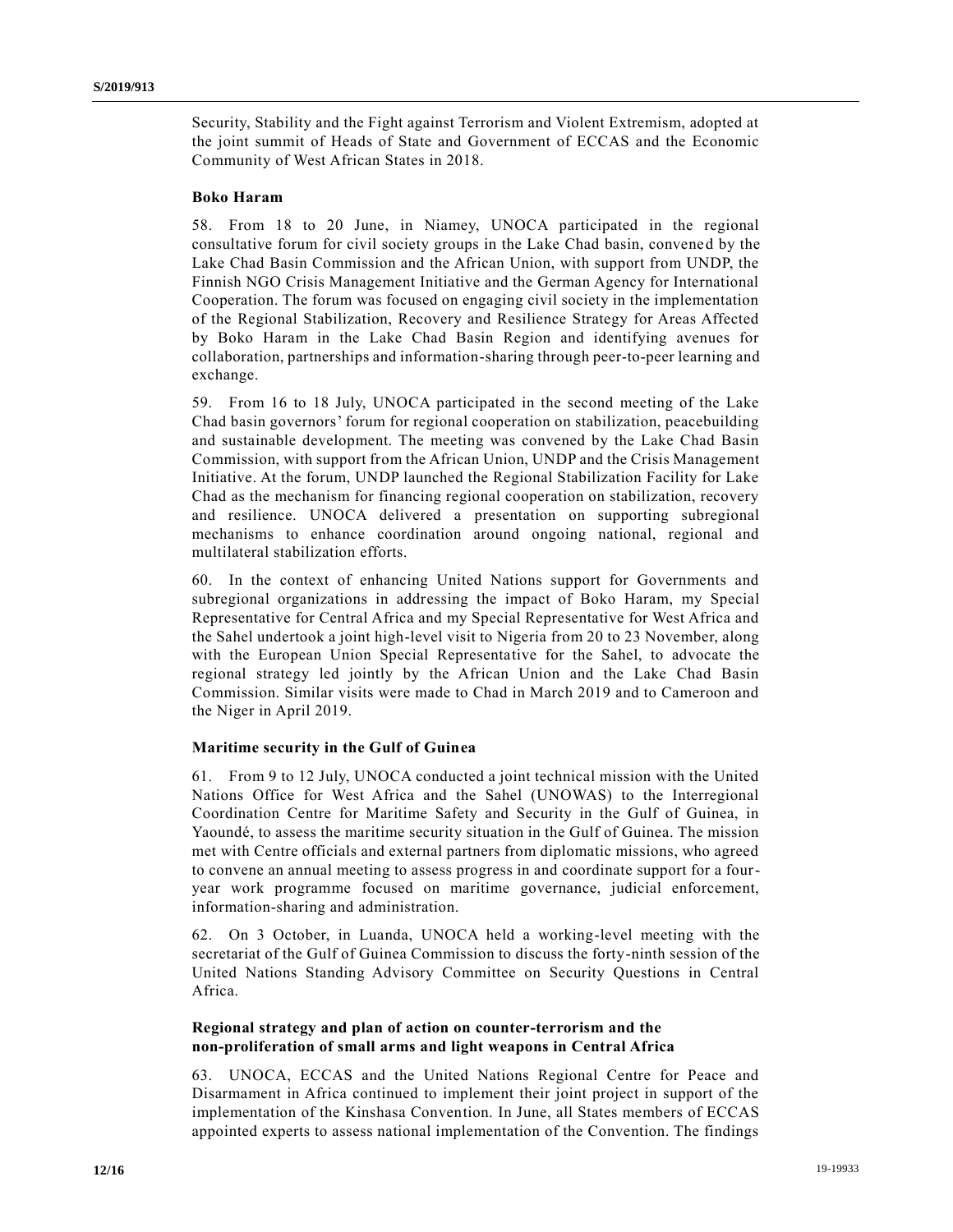Security, Stability and the Fight against Terrorism and Violent Extremism, adopted at the joint summit of Heads of State and Government of ECCAS and the Economic Community of West African States in 2018.

#### **Boko Haram**

58. From 18 to 20 June, in Niamey, UNOCA participated in the regional consultative forum for civil society groups in the Lake Chad basin, convene d by the Lake Chad Basin Commission and the African Union, with support from UNDP, the Finnish NGO Crisis Management Initiative and the German Agency for International Cooperation. The forum was focused on engaging civil society in the implementation of the Regional Stabilization, Recovery and Resilience Strategy for Areas Affected by Boko Haram in the Lake Chad Basin Region and identifying avenues for collaboration, partnerships and information-sharing through peer-to-peer learning and exchange.

59. From 16 to 18 July, UNOCA participated in the second meeting of the Lake Chad basin governors' forum for regional cooperation on stabilization, peacebuilding and sustainable development. The meeting was convened by the Lake Chad Basin Commission, with support from the African Union, UNDP and the Crisis Management Initiative. At the forum, UNDP launched the Regional Stabilization Facility for Lake Chad as the mechanism for financing regional cooperation on stabilization, recovery and resilience. UNOCA delivered a presentation on supporting subregional mechanisms to enhance coordination around ongoing national, regional and multilateral stabilization efforts.

60. In the context of enhancing United Nations support for Governments and subregional organizations in addressing the impact of Boko Haram, my Special Representative for Central Africa and my Special Representative for West Africa and the Sahel undertook a joint high-level visit to Nigeria from 20 to 23 November, along with the European Union Special Representative for the Sahel, to advocate the regional strategy led jointly by the African Union and the Lake Chad Basin Commission. Similar visits were made to Chad in March 2019 and to Cameroon and the Niger in April 2019.

### **Maritime security in the Gulf of Guinea**

61. From 9 to 12 July, UNOCA conducted a joint technical mission with the United Nations Office for West Africa and the Sahel (UNOWAS) to the Interregional Coordination Centre for Maritime Safety and Security in the Gulf of Guinea, in Yaoundé, to assess the maritime security situation in the Gulf of Guinea. The mission met with Centre officials and external partners from diplomatic missions, who agreed to convene an annual meeting to assess progress in and coordinate support for a fouryear work programme focused on maritime governance, judicial enforcement, information-sharing and administration.

62. On 3 October, in Luanda, UNOCA held a working-level meeting with the secretariat of the Gulf of Guinea Commission to discuss the forty-ninth session of the United Nations Standing Advisory Committee on Security Questions in Central Africa.

### **Regional strategy and plan of action on counter-terrorism and the non-proliferation of small arms and light weapons in Central Africa**

63. UNOCA, ECCAS and the United Nations Regional Centre for Peace and Disarmament in Africa continued to implement their joint project in support of the implementation of the Kinshasa Convention. In June, all States members of ECCAS appointed experts to assess national implementation of the Convention. The findings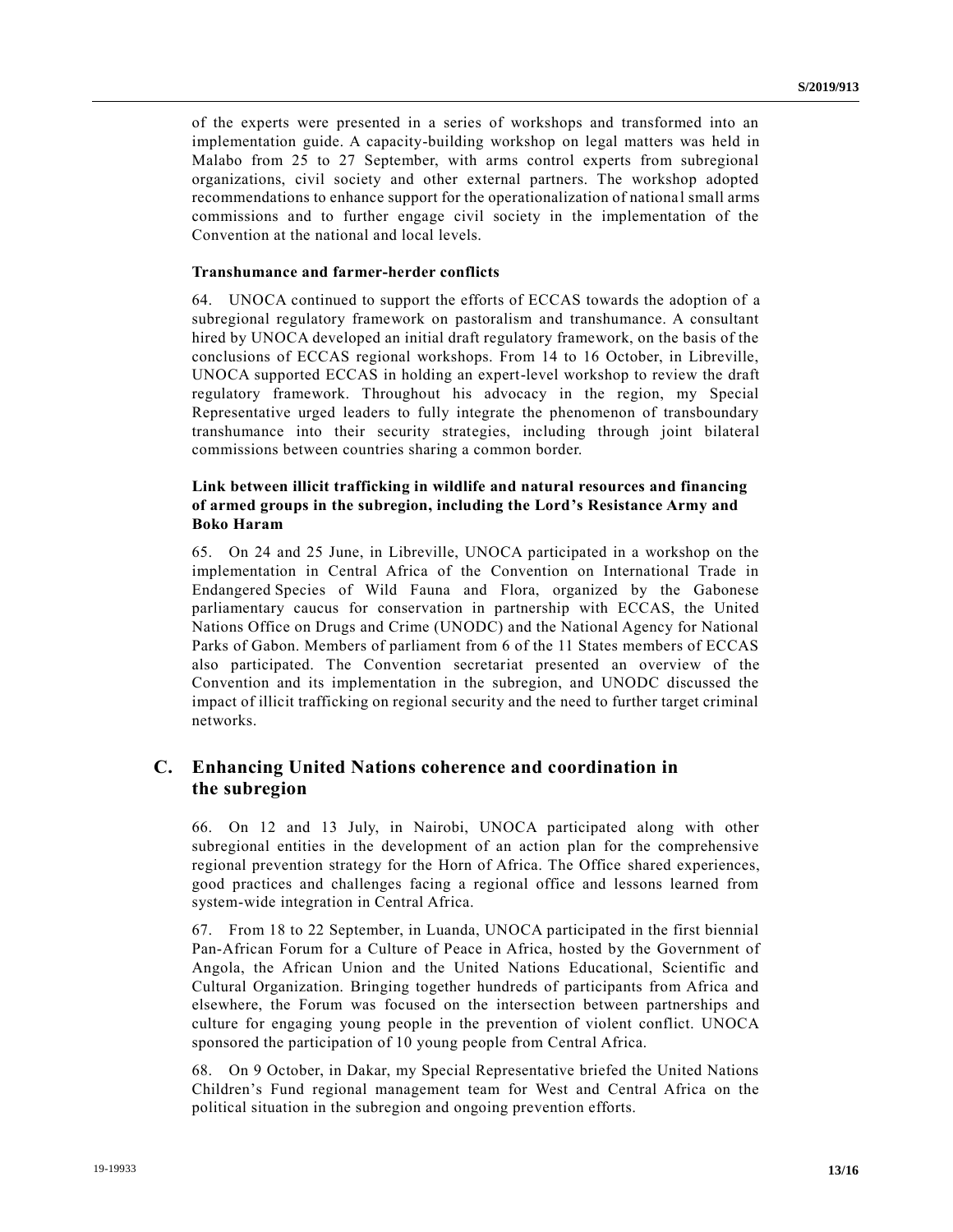of the experts were presented in a series of workshops and transformed into an implementation guide. A capacity-building workshop on legal matters was held in Malabo from 25 to 27 September, with arms control experts from subregional organizations, civil society and other external partners. The workshop adopted recommendations to enhance support for the operationalization of nationa l small arms commissions and to further engage civil society in the implementation of the Convention at the national and local levels.

#### **Transhumance and farmer-herder conflicts**

64. UNOCA continued to support the efforts of ECCAS towards the adoption of a subregional regulatory framework on pastoralism and transhumance. A consultant hired by UNOCA developed an initial draft regulatory framework, on the basis of the conclusions of ECCAS regional workshops. From 14 to 16 October, in Libreville, UNOCA supported ECCAS in holding an expert-level workshop to review the draft regulatory framework. Throughout his advocacy in the region, my Special Representative urged leaders to fully integrate the phenomenon of transboundary transhumance into their security strategies, including through joint bilateral commissions between countries sharing a common border.

## **Link between illicit trafficking in wildlife and natural resources and financing of armed groups in the subregion, including the Lord's Resistance Army and Boko Haram**

65. On 24 and 25 June, in Libreville, UNOCA participated in a workshop on the implementation in Central Africa of the Convention on International Trade in Endangered Species of Wild Fauna and Flora, organized by the Gabonese parliamentary caucus for conservation in partnership with ECCAS, the United Nations Office on Drugs and Crime (UNODC) and the National Agency for National Parks of Gabon. Members of parliament from 6 of the 11 States members of ECCAS also participated. The Convention secretariat presented an overview of the Convention and its implementation in the subregion, and UNODC discussed the impact of illicit trafficking on regional security and the need to further target criminal networks.

# **C. Enhancing United Nations coherence and coordination in the subregion**

66. On 12 and 13 July, in Nairobi, UNOCA participated along with other subregional entities in the development of an action plan for the comprehensive regional prevention strategy for the Horn of Africa. The Office shared experiences, good practices and challenges facing a regional office and lessons learned from system-wide integration in Central Africa.

67. From 18 to 22 September, in Luanda, UNOCA participated in the first biennial Pan-African Forum for a Culture of Peace in Africa, hosted by the Government of Angola, the African Union and the United Nations Educational, Scientific and Cultural Organization. Bringing together hundreds of participants from Africa and elsewhere, the Forum was focused on the intersection between partnerships and culture for engaging young people in the prevention of violent conflict. UNOCA sponsored the participation of 10 young people from Central Africa.

68. On 9 October, in Dakar, my Special Representative briefed the United Nations Children's Fund regional management team for West and Central Africa on the political situation in the subregion and ongoing prevention efforts.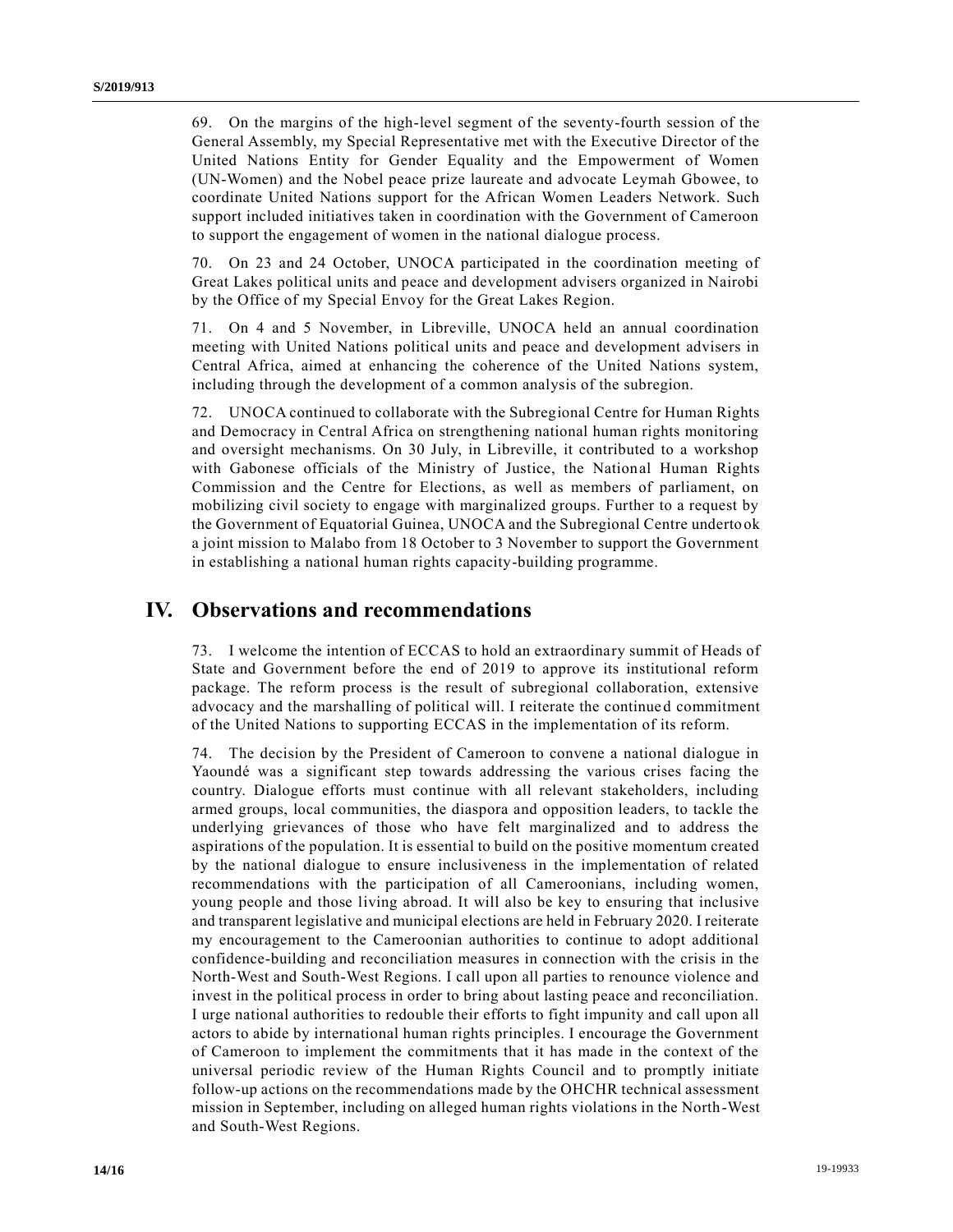69. On the margins of the high-level segment of the seventy-fourth session of the General Assembly, my Special Representative met with the Executive Director of the United Nations Entity for Gender Equality and the Empowerment of Women (UN-Women) and the Nobel peace prize laureate and advocate Leymah Gbowee, to coordinate United Nations support for the African Women Leaders Network. Such support included initiatives taken in coordination with the Government of Cameroon to support the engagement of women in the national dialogue process.

70. On 23 and 24 October, UNOCA participated in the coordination meeting of Great Lakes political units and peace and development advisers organized in Nairobi by the Office of my Special Envoy for the Great Lakes Region.

71. On 4 and 5 November, in Libreville, UNOCA held an annual coordination meeting with United Nations political units and peace and development advisers in Central Africa, aimed at enhancing the coherence of the United Nations system, including through the development of a common analysis of the subregion.

72. UNOCA continued to collaborate with the Subregional Centre for Human Rights and Democracy in Central Africa on strengthening national human rights monitoring and oversight mechanisms. On 30 July, in Libreville, it contributed to a workshop with Gabonese officials of the Ministry of Justice, the National Human Rights Commission and the Centre for Elections, as well as members of parliament, on mobilizing civil society to engage with marginalized groups. Further to a request by the Government of Equatorial Guinea, UNOCA and the Subregional Centre undertook a joint mission to Malabo from 18 October to 3 November to support the Government in establishing a national human rights capacity-building programme.

# **IV. Observations and recommendations**

73. I welcome the intention of ECCAS to hold an extraordinary summit of Heads of State and Government before the end of 2019 to approve its institutional reform package. The reform process is the result of subregional collaboration, extensive advocacy and the marshalling of political will. I reiterate the continued commitment of the United Nations to supporting ECCAS in the implementation of its reform.

74. The decision by the President of Cameroon to convene a national dialogue in Yaoundé was a significant step towards addressing the various crises facing the country. Dialogue efforts must continue with all relevant stakeholders, including armed groups, local communities, the diaspora and opposition leaders, to tackle the underlying grievances of those who have felt marginalized and to address the aspirations of the population. It is essential to build on the positive momentum created by the national dialogue to ensure inclusiveness in the implementation of related recommendations with the participation of all Cameroonians, including women, young people and those living abroad. It will also be key to ensuring that inclusive and transparent legislative and municipal elections are held in February 2020. I reiterate my encouragement to the Cameroonian authorities to continue to adopt additional confidence-building and reconciliation measures in connection with the crisis in the North-West and South-West Regions. I call upon all parties to renounce violence and invest in the political process in order to bring about lasting peace and reconciliation. I urge national authorities to redouble their efforts to fight impunity and call upon all actors to abide by international human rights principles. I encourage the Government of Cameroon to implement the commitments that it has made in the context of the universal periodic review of the Human Rights Council and to promptly initiate follow-up actions on the recommendations made by the OHCHR technical assessment mission in September, including on alleged human rights violations in the North-West and South-West Regions.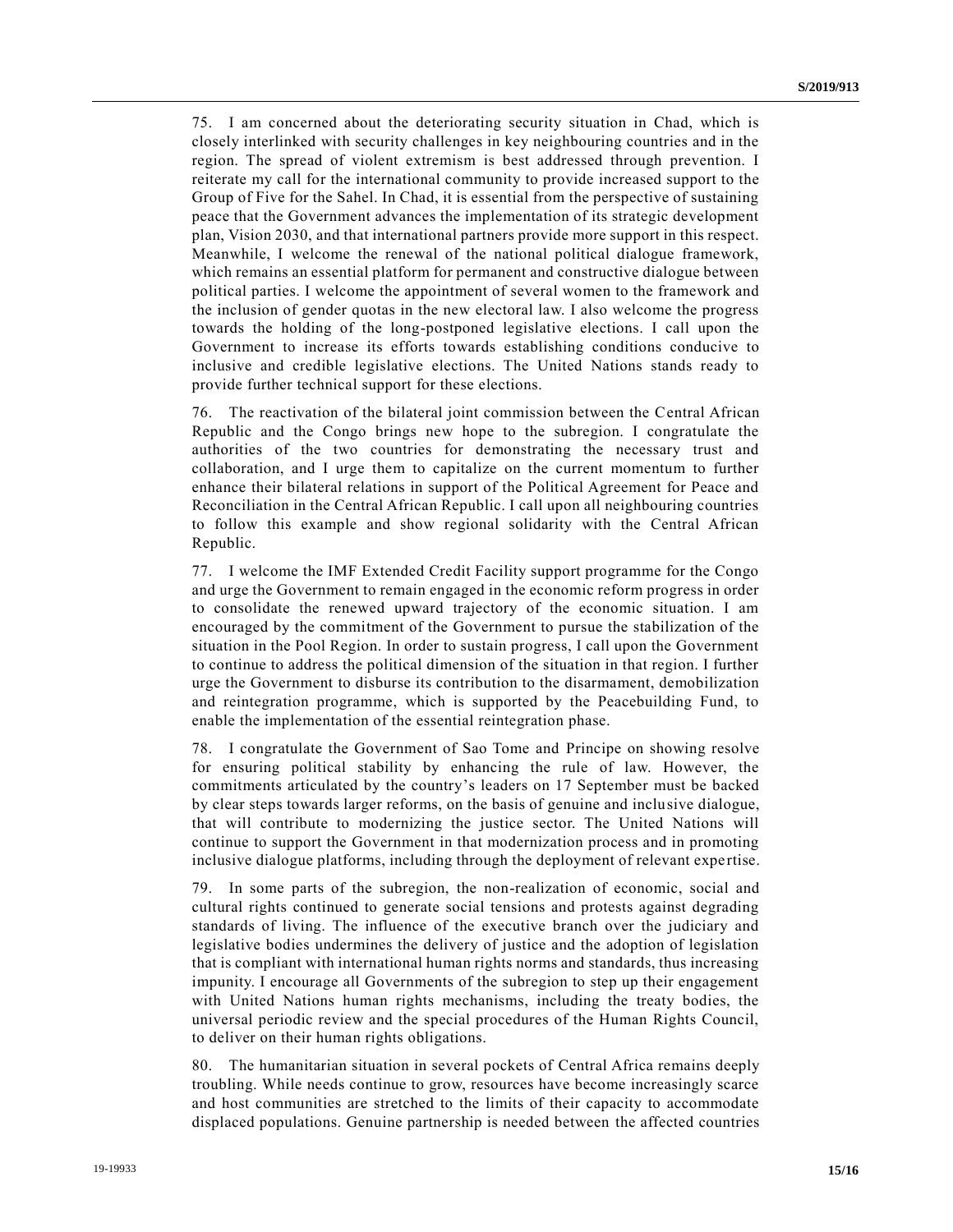75. I am concerned about the deteriorating security situation in Chad, which is closely interlinked with security challenges in key neighbouring countries and in the region. The spread of violent extremism is best addressed through prevention. I reiterate my call for the international community to provide increased support to the Group of Five for the Sahel. In Chad, it is essential from the perspective of sustaining peace that the Government advances the implementation of its strategic development plan, Vision 2030, and that international partners provide more support in this respect. Meanwhile, I welcome the renewal of the national political dialogue framework, which remains an essential platform for permanent and constructive dialogue between political parties. I welcome the appointment of several women to the framework and the inclusion of gender quotas in the new electoral law. I also welcome the progress towards the holding of the long-postponed legislative elections. I call upon the Government to increase its efforts towards establishing conditions conducive to inclusive and credible legislative elections. The United Nations stands ready to provide further technical support for these elections.

76. The reactivation of the bilateral joint commission between the Central African Republic and the Congo brings new hope to the subregion. I congratulate the authorities of the two countries for demonstrating the necessary trust and collaboration, and I urge them to capitalize on the current momentum to further enhance their bilateral relations in support of the Political Agreement for Peace and Reconciliation in the Central African Republic. I call upon all neighbouring countries to follow this example and show regional solidarity with the Central African Republic.

77. I welcome the IMF Extended Credit Facility support programme for the Congo and urge the Government to remain engaged in the economic reform progress in order to consolidate the renewed upward trajectory of the economic situation. I am encouraged by the commitment of the Government to pursue the stabilization of the situation in the Pool Region. In order to sustain progress, I call upon the Government to continue to address the political dimension of the situation in that region. I further urge the Government to disburse its contribution to the disarmament, demobilization and reintegration programme, which is supported by the Peacebuilding Fund, to enable the implementation of the essential reintegration phase.

78. I congratulate the Government of Sao Tome and Principe on showing resolve for ensuring political stability by enhancing the rule of law. However, the commitments articulated by the country's leaders on 17 September must be backed by clear steps towards larger reforms, on the basis of genuine and inclusive dialogue, that will contribute to modernizing the justice sector. The United Nations will continue to support the Government in that modernization process and in promoting inclusive dialogue platforms, including through the deployment of relevant expertise.

79. In some parts of the subregion, the non-realization of economic, social and cultural rights continued to generate social tensions and protests against degrading standards of living. The influence of the executive branch over the judiciary and legislative bodies undermines the delivery of justice and the adoption of legislation that is compliant with international human rights norms and standards, thus increasing impunity. I encourage all Governments of the subregion to step up their engagement with United Nations human rights mechanisms, including the treaty bodies, the universal periodic review and the special procedures of the Human Rights Council, to deliver on their human rights obligations.

80. The humanitarian situation in several pockets of Central Africa remains deeply troubling. While needs continue to grow, resources have become increasingly scarce and host communities are stretched to the limits of their capacity to accommodate displaced populations. Genuine partnership is needed between the affected countries